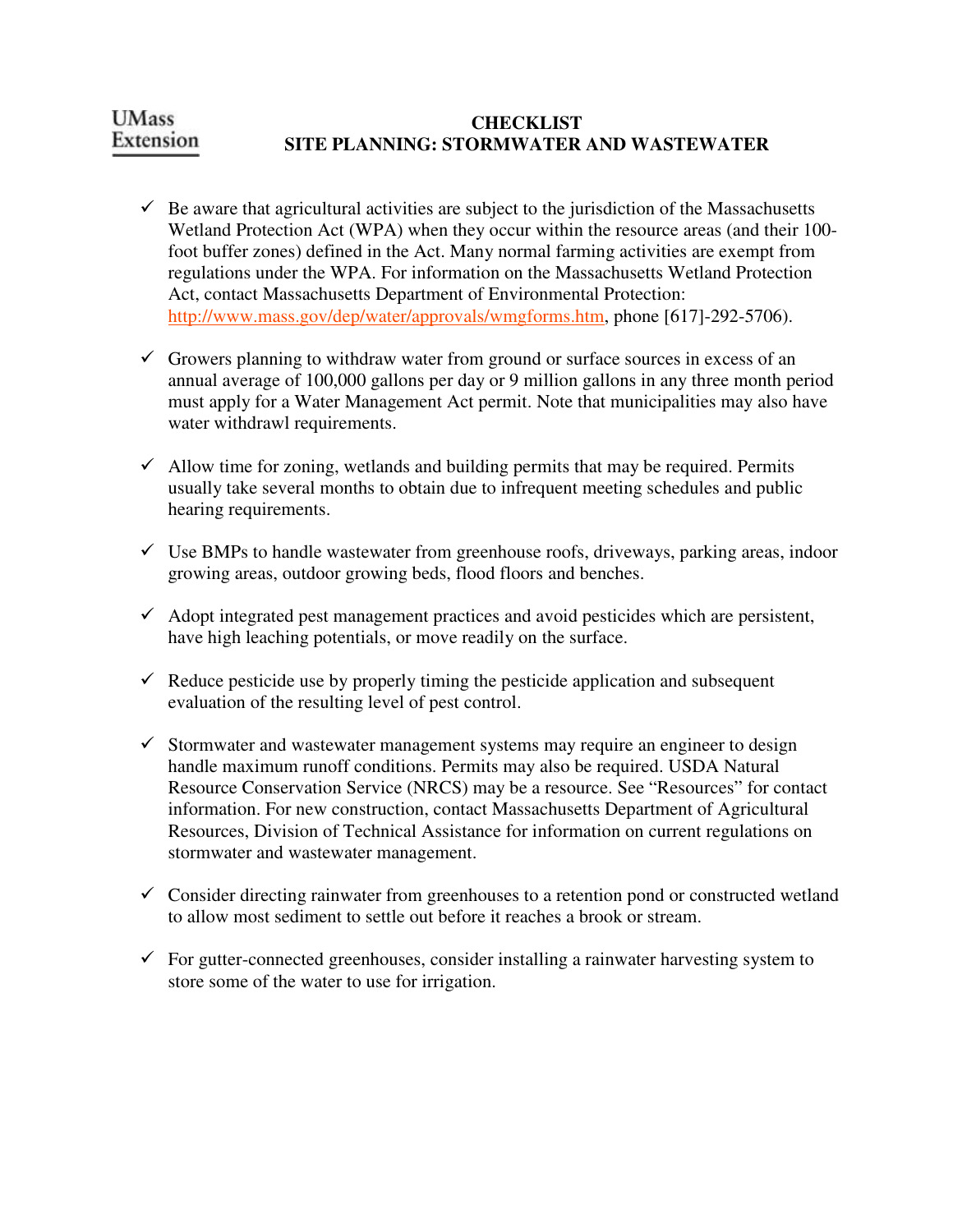#### **UMass CHECKLIST**  Extension **SITE PLANNING: STORMWATER AND WASTEWATER**

- $\checkmark$  Be aware that agricultural activities are subject to the jurisdiction of the Massachusetts Wetland Protection Act (WPA) when they occur within the resource areas (and their 100 foot buffer zones) defined in the Act. Many normal farming activities are exempt from regulations under the WPA. For information on the Massachusetts Wetland Protection Act, contact Massachusetts Department of Environmental Protection: http://www.mass.gov/dep/water/approvals/wmgforms.htm, phone [617]-292-5706).
- $\checkmark$  Growers planning to withdraw water from ground or surface sources in excess of an annual average of 100,000 gallons per day or 9 million gallons in any three month period must apply for a Water Management Act permit. Note that municipalities may also have water withdrawl requirements.
- $\checkmark$  Allow time for zoning, wetlands and building permits that may be required. Permits usually take several months to obtain due to infrequent meeting schedules and public hearing requirements.
- $\checkmark$  Use BMPs to handle wastewater from greenhouse roofs, driveways, parking areas, indoor growing areas, outdoor growing beds, flood floors and benches.
- $\checkmark$  Adopt integrated pest management practices and avoid pesticides which are persistent, have high leaching potentials, or move readily on the surface.
- $\checkmark$  Reduce pesticide use by properly timing the pesticide application and subsequent evaluation of the resulting level of pest control.
- $\checkmark$  Stormwater and wastewater management systems may require an engineer to design handle maximum runoff conditions. Permits may also be required. USDA Natural Resource Conservation Service (NRCS) may be a resource. See "Resources" for contact information. For new construction, contact Massachusetts Department of Agricultural Resources, Division of Technical Assistance for information on current regulations on stormwater and wastewater management.
- $\checkmark$  Consider directing rainwater from greenhouses to a retention pond or constructed wetland to allow most sediment to settle out before it reaches a brook or stream.
- $\checkmark$  For gutter-connected greenhouses, consider installing a rainwater harvesting system to store some of the water to use for irrigation.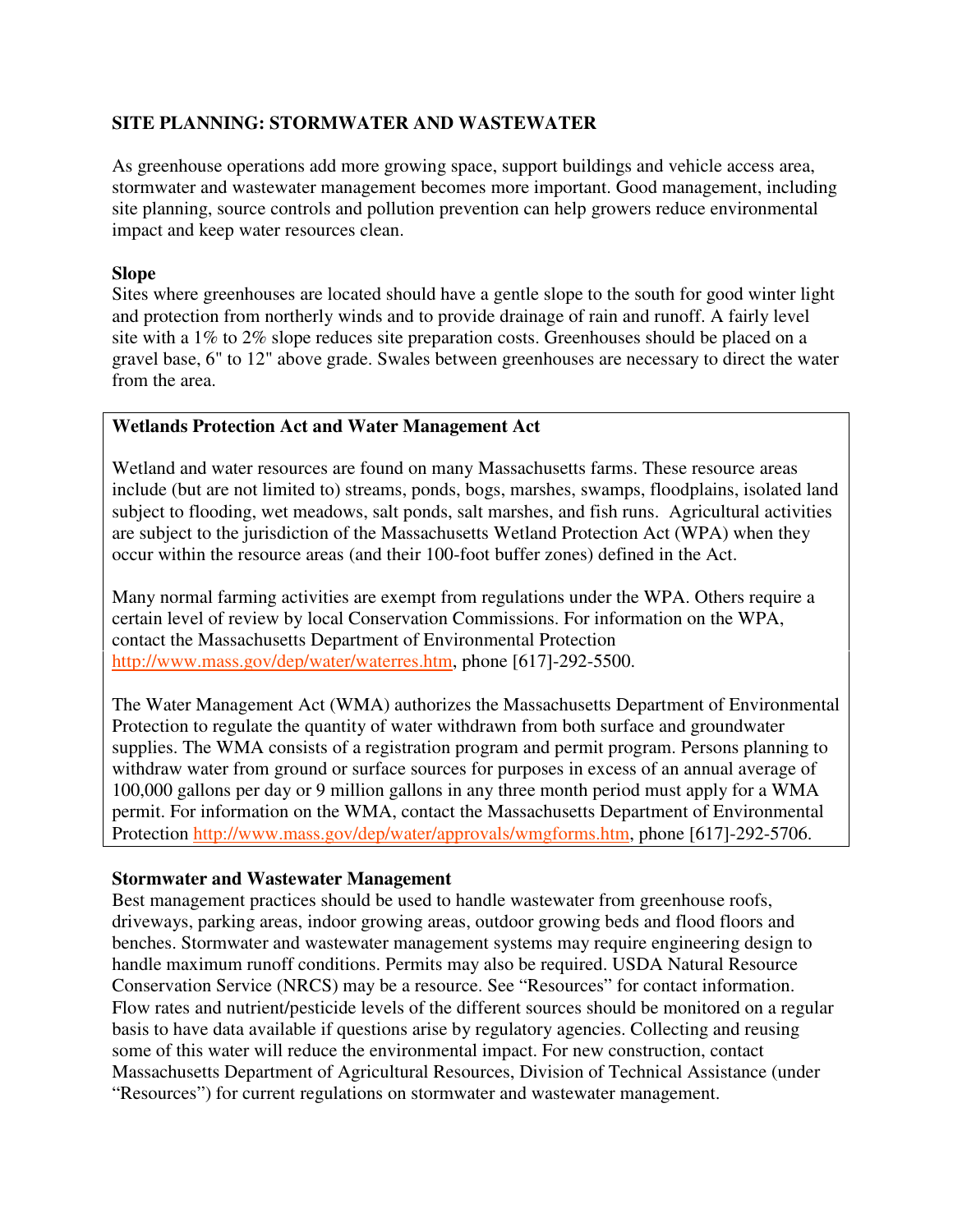# **SITE PLANNING: STORMWATER AND WASTEWATER**

As greenhouse operations add more growing space, support buildings and vehicle access area, stormwater and wastewater management becomes more important. Good management, including site planning, source controls and pollution prevention can help growers reduce environmental impact and keep water resources clean.

# **Slope**

Sites where greenhouses are located should have a gentle slope to the south for good winter light and protection from northerly winds and to provide drainage of rain and runoff. A fairly level site with a 1% to 2% slope reduces site preparation costs. Greenhouses should be placed on a gravel base, 6" to 12" above grade. Swales between greenhouses are necessary to direct the water from the area.

# **Wetlands Protection Act and Water Management Act**

Wetland and water resources are found on many Massachusetts farms. These resource areas include (but are not limited to) streams, ponds, bogs, marshes, swamps, floodplains, isolated land subject to flooding, wet meadows, salt ponds, salt marshes, and fish runs. Agricultural activities are subject to the jurisdiction of the Massachusetts Wetland Protection Act (WPA) when they occur within the resource areas (and their 100-foot buffer zones) defined in the Act.

Many normal farming activities are exempt from regulations under the WPA. Others require a certain level of review by local Conservation Commissions. For information on the WPA, contact the Massachusetts Department of Environmental Protection http://www.mass.gov/dep/water/waterres.htm, phone [617]-292-5500.

The Water Management Act (WMA) authorizes the Massachusetts Department of Environmental Protection to regulate the quantity of water withdrawn from both surface and groundwater supplies. The WMA consists of a registration program and permit program. Persons planning to withdraw water from ground or surface sources for purposes in excess of an annual average of 100,000 gallons per day or 9 million gallons in any three month period must apply for a WMA permit. For information on the WMA, contact the Massachusetts Department of Environmental Protection http://www.mass.gov/dep/water/approvals/wmgforms.htm, phone [617]-292-5706.

### **Stormwater and Wastewater Management**

Best management practices should be used to handle wastewater from greenhouse roofs, driveways, parking areas, indoor growing areas, outdoor growing beds and flood floors and benches. Stormwater and wastewater management systems may require engineering design to handle maximum runoff conditions. Permits may also be required. USDA Natural Resource Conservation Service (NRCS) may be a resource. See "Resources" for contact information. Flow rates and nutrient/pesticide levels of the different sources should be monitored on a regular basis to have data available if questions arise by regulatory agencies. Collecting and reusing some of this water will reduce the environmental impact. For new construction, contact Massachusetts Department of Agricultural Resources, Division of Technical Assistance (under "Resources") for current regulations on stormwater and wastewater management.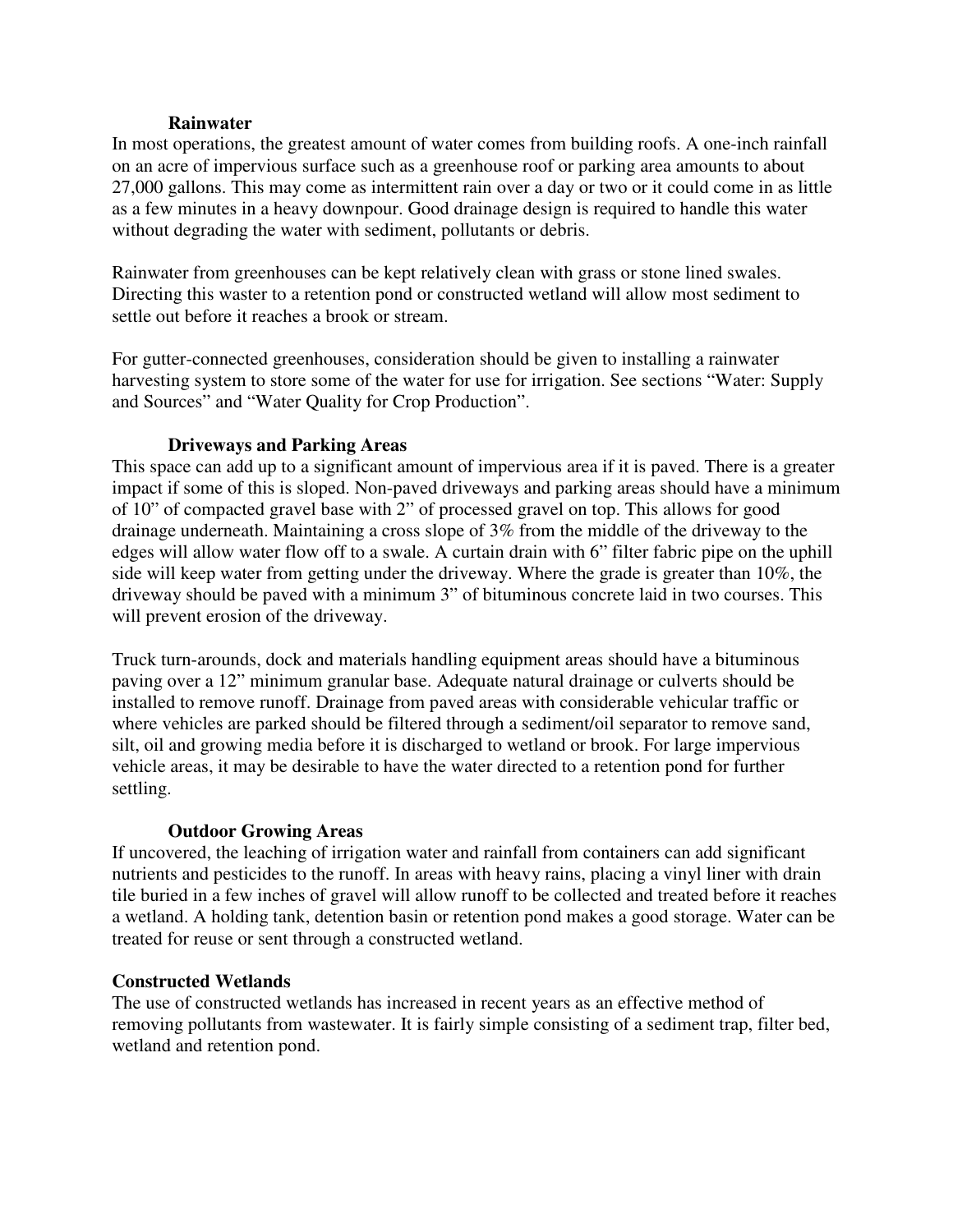#### **Rainwater**

In most operations, the greatest amount of water comes from building roofs. A one-inch rainfall on an acre of impervious surface such as a greenhouse roof or parking area amounts to about 27,000 gallons. This may come as intermittent rain over a day or two or it could come in as little as a few minutes in a heavy downpour. Good drainage design is required to handle this water without degrading the water with sediment, pollutants or debris.

Rainwater from greenhouses can be kept relatively clean with grass or stone lined swales. Directing this waster to a retention pond or constructed wetland will allow most sediment to settle out before it reaches a brook or stream.

For gutter-connected greenhouses, consideration should be given to installing a rainwater harvesting system to store some of the water for use for irrigation. See sections "Water: Supply and Sources" and "Water Quality for Crop Production".

### **Driveways and Parking Areas**

This space can add up to a significant amount of impervious area if it is paved. There is a greater impact if some of this is sloped. Non-paved driveways and parking areas should have a minimum of 10" of compacted gravel base with 2" of processed gravel on top. This allows for good drainage underneath. Maintaining a cross slope of 3% from the middle of the driveway to the edges will allow water flow off to a swale. A curtain drain with 6" filter fabric pipe on the uphill side will keep water from getting under the driveway. Where the grade is greater than 10%, the driveway should be paved with a minimum 3" of bituminous concrete laid in two courses. This will prevent erosion of the driveway.

Truck turn-arounds, dock and materials handling equipment areas should have a bituminous paving over a 12" minimum granular base. Adequate natural drainage or culverts should be installed to remove runoff. Drainage from paved areas with considerable vehicular traffic or where vehicles are parked should be filtered through a sediment/oil separator to remove sand, silt, oil and growing media before it is discharged to wetland or brook. For large impervious vehicle areas, it may be desirable to have the water directed to a retention pond for further settling.

# **Outdoor Growing Areas**

If uncovered, the leaching of irrigation water and rainfall from containers can add significant nutrients and pesticides to the runoff. In areas with heavy rains, placing a vinyl liner with drain tile buried in a few inches of gravel will allow runoff to be collected and treated before it reaches a wetland. A holding tank, detention basin or retention pond makes a good storage. Water can be treated for reuse or sent through a constructed wetland.

### **Constructed Wetlands**

The use of constructed wetlands has increased in recent years as an effective method of removing pollutants from wastewater. It is fairly simple consisting of a sediment trap, filter bed, wetland and retention pond.